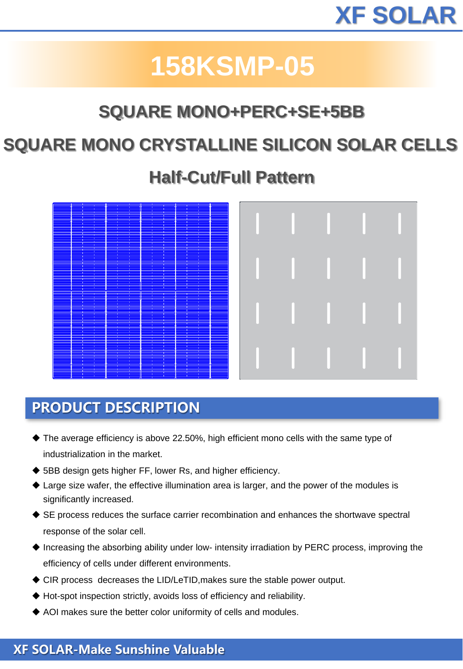# **158KSMP-05**

## **SQUARE MONO+PERC+SE+5BB**

### **SQUARE MONO CRYSTALLINE SILICON SOLAR CELLS**

### **Half-Cut/Full Pattern**

| Ŧ                        |                           | H            |          |
|--------------------------|---------------------------|--------------|----------|
|                          |                           |              |          |
|                          |                           |              |          |
|                          |                           |              |          |
|                          | H                         |              |          |
|                          |                           | --           |          |
|                          |                           |              |          |
|                          |                           |              |          |
|                          |                           |              |          |
| H                        |                           |              |          |
| ÷                        |                           | --           |          |
|                          |                           |              |          |
|                          |                           |              |          |
| --                       |                           |              |          |
| H                        | H                         |              |          |
|                          |                           |              |          |
| $\overline{\phantom{a}}$ |                           |              |          |
|                          |                           |              |          |
| - 1                      | <b>START</b>              | $\mathbf{r}$ |          |
|                          |                           |              |          |
|                          | - 1                       |              |          |
|                          |                           |              |          |
|                          |                           |              |          |
|                          |                           |              |          |
|                          |                           |              |          |
| $\mathbf{r}$             | $\mathbf{r}$              | <b>STEP</b>  |          |
| ---                      | --                        |              | $\equiv$ |
|                          |                           |              |          |
|                          |                           |              |          |
|                          | - 1                       |              |          |
|                          |                           |              |          |
|                          |                           |              |          |
|                          |                           |              |          |
|                          |                           |              |          |
|                          |                           |              |          |
|                          |                           |              |          |
|                          |                           |              |          |
|                          |                           |              |          |
|                          | <b>The Second Service</b> |              |          |
|                          |                           |              |          |
|                          |                           |              |          |
|                          |                           |              |          |
|                          |                           |              |          |
|                          |                           |              |          |
|                          |                           |              |          |
|                          |                           | <u>a m</u>   |          |
|                          | --                        |              |          |
|                          |                           |              |          |
|                          |                           |              |          |
|                          |                           |              |          |
| - 1                      |                           |              |          |
|                          |                           |              |          |
|                          |                           |              |          |
|                          |                           |              |          |
|                          |                           |              |          |
|                          |                           |              |          |
|                          |                           |              |          |
|                          |                           |              |          |
|                          |                           |              |          |
|                          |                           | <b>TE</b>    |          |
|                          |                           |              |          |
|                          |                           |              |          |
|                          |                           |              |          |
|                          |                           |              |          |
|                          |                           |              |          |
|                          |                           |              |          |
|                          |                           |              |          |
|                          |                           |              |          |
|                          |                           |              |          |
|                          |                           |              |          |
|                          |                           |              |          |
|                          | H                         |              | H        |
|                          |                           |              |          |
|                          |                           |              |          |
|                          |                           |              |          |
|                          |                           |              |          |
|                          |                           | <b>STEP</b>  |          |
| 42                       |                           | $\sim$       |          |
| --                       | - 1                       | وركاها       | - 1      |

### **PRODUCT DESCRIPTION**

- ◆ The average efficiency is above 22.50%, high efficient mono cells with the same type of industrialization in the market.
- ◆ 5BB design gets higher FF, lower Rs, and higher efficiency.
- $\triangle$  Large size wafer, the effective illumination area is larger, and the power of the modules is significantly increased.
- ◆ SE process reduces the surface carrier recombination and enhances the shortwave spectral response of the solar cell.
- ◆ Increasing the absorbing ability under low- intensity irradiation by PERC process, improving the efficiency of cells under different environments.
- ◆ CIR process decreases the LID/LeTID, makes sure the stable power output.
- ◆ Hot-spot inspection strictly, avoids loss of efficiency and reliability.
- ◆ AOI makes sure the better color uniformity of cells and modules.

#### **XF SOLAR-Make Sunshine Valuable**